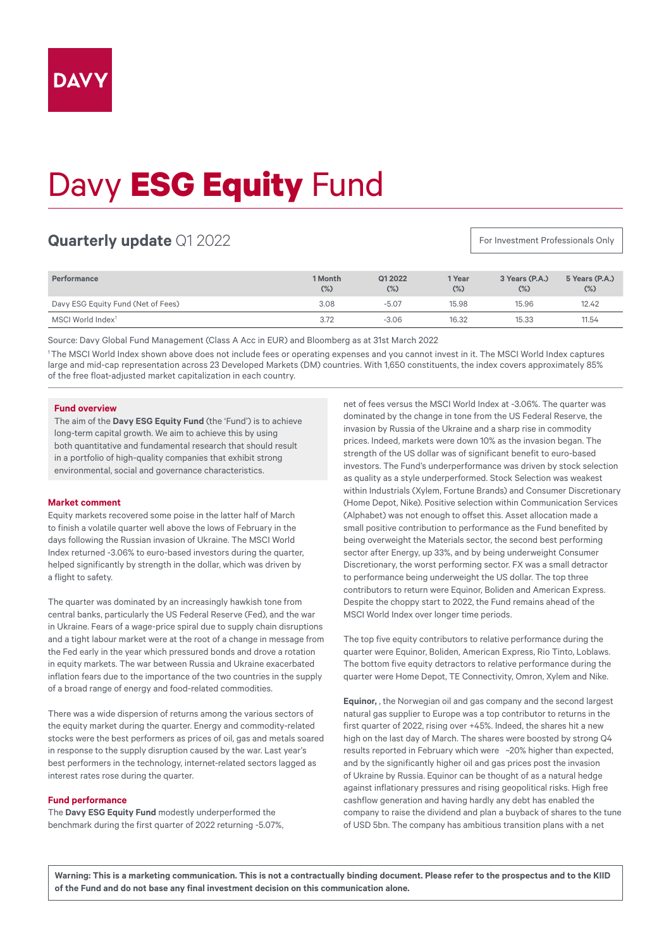# Davy **ESG Equity** Fund

# **Quarterly update** Q1 2022

For Investment Professionals Only

| Performance                        | 1 Month<br>$(\%)$ | Q12022<br>$(\%)$ | 1 Year<br>$(\%)$ | 3 Years (P.A.)<br>$(\%)$ | 5 Years (P.A.)<br>$(\%)$ |
|------------------------------------|-------------------|------------------|------------------|--------------------------|--------------------------|
| Davy ESG Equity Fund (Net of Fees) | 3.08              | $-5.07$          | 15.98            | 15.96                    | 12.42                    |
| MSCI World Index <sup>1</sup>      | 3.72              | $-3.06$          | 16.32            | 15.33                    | 11.54                    |

Source: Davy Global Fund Management (Class A Acc in EUR) and Bloomberg as at 31st March 2022

1 The MSCI World Index shown above does not include fees or operating expenses and you cannot invest in it. The MSCI World Index captures large and mid-cap representation across 23 Developed Markets (DM) countries. With 1,650 constituents, the index covers approximately 85% of the free float-adjusted market capitalization in each country.

# **Fund overview**

The aim of the **Davy ESG Equity Fund** (the 'Fund') is to achieve long-term capital growth. We aim to achieve this by using both quantitative and fundamental research that should result in a portfolio of high-quality companies that exhibit strong environmental, social and governance characteristics.

## **Market comment**

Equity markets recovered some poise in the latter half of March to finish a volatile quarter well above the lows of February in the days following the Russian invasion of Ukraine. The MSCI World Index returned -3.06% to euro-based investors during the quarter, helped significantly by strength in the dollar, which was driven by a flight to safety.

The quarter was dominated by an increasingly hawkish tone from central banks, particularly the US Federal Reserve (Fed), and the war in Ukraine. Fears of a wage-price spiral due to supply chain disruptions and a tight labour market were at the root of a change in message from the Fed early in the year which pressured bonds and drove a rotation in equity markets. The war between Russia and Ukraine exacerbated inflation fears due to the importance of the two countries in the supply of a broad range of energy and food-related commodities.

There was a wide dispersion of returns among the various sectors of the equity market during the quarter. Energy and commodity-related stocks were the best performers as prices of oil, gas and metals soared in response to the supply disruption caused by the war. Last year's best performers in the technology, internet-related sectors lagged as interest rates rose during the quarter.

### **Fund performance**

The **Davy ESG Equity Fund** modestly underperformed the benchmark during the first quarter of 2022 returning -5.07%,

net of fees versus the MSCI World Index at -3.06%. The quarter was dominated by the change in tone from the US Federal Reserve, the invasion by Russia of the Ukraine and a sharp rise in commodity prices. Indeed, markets were down 10% as the invasion began. The strength of the US dollar was of significant benefit to euro-based investors. The Fund's underperformance was driven by stock selection as quality as a style underperformed. Stock Selection was weakest within Industrials (Xylem, Fortune Brands) and Consumer Discretionary (Home Depot, Nike). Positive selection within Communication Services (Alphabet) was not enough to offset this. Asset allocation made a small positive contribution to performance as the Fund benefited by being overweight the Materials sector, the second best performing sector after Energy, up 33%, and by being underweight Consumer Discretionary, the worst performing sector. FX was a small detractor to performance being underweight the US dollar. The top three contributors to return were Equinor, Boliden and American Express. Despite the choppy start to 2022, the Fund remains ahead of the MSCI World Index over longer time periods.

The top five equity contributors to relative performance during the quarter were Equinor, Boliden, American Express, Rio Tinto, Loblaws. The bottom five equity detractors to relative performance during the quarter were Home Depot, TE Connectivity, Omron, Xylem and Nike.

**Equinor,** , the Norwegian oil and gas company and the second largest natural gas supplier to Europe was a top contributor to returns in the first quarter of 2022, rising over +45%. Indeed, the shares hit a new high on the last day of March. The shares were boosted by strong Q4 results reported in February which were ~20% higher than expected, and by the significantly higher oil and gas prices post the invasion of Ukraine by Russia. Equinor can be thought of as a natural hedge against inflationary pressures and rising geopolitical risks. High free cashflow generation and having hardly any debt has enabled the company to raise the dividend and plan a buyback of shares to the tune of USD 5bn. The company has ambitious transition plans with a net

**Warning: This is a marketing communication. This is not a contractually binding document. Please refer to the prospectus and to the KIID of the Fund and do not base any final investment decision on this communication alone.**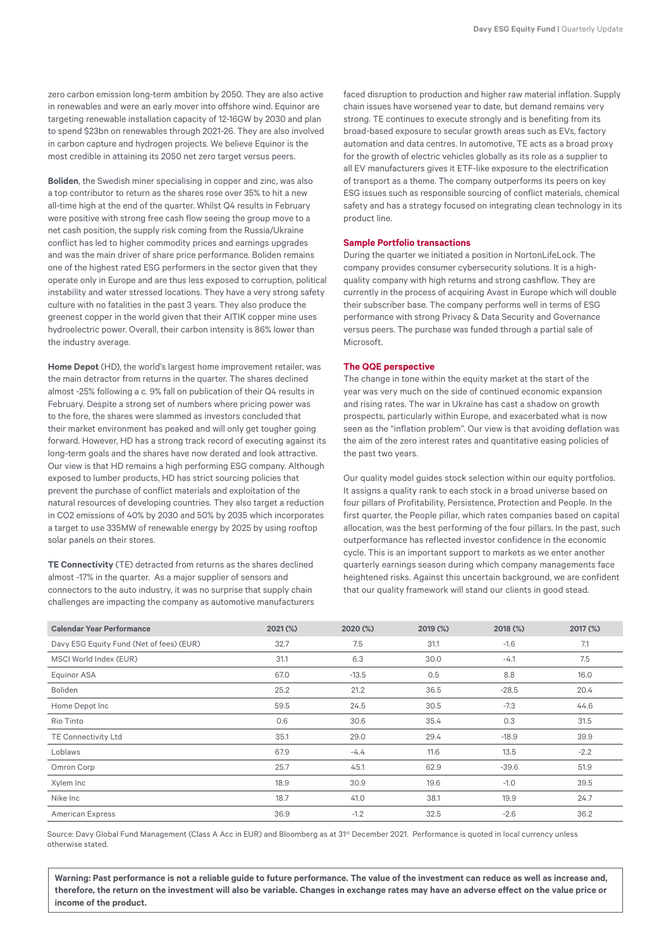zero carbon emission long-term ambition by 2050. They are also active in renewables and were an early mover into offshore wind. Equinor are targeting renewable installation capacity of 12-16GW by 2030 and plan to spend \$23bn on renewables through 2021-26. They are also involved in carbon capture and hydrogen projects. We believe Equinor is the most credible in attaining its 2050 net zero target versus peers.

**Boliden**, the Swedish miner specialising in copper and zinc, was also a top contributor to return as the shares rose over 35% to hit a new all-time high at the end of the quarter. Whilst Q4 results in February were positive with strong free cash flow seeing the group move to a net cash position, the supply risk coming from the Russia/Ukraine conflict has led to higher commodity prices and earnings upgrades and was the main driver of share price performance. Boliden remains one of the highest rated ESG performers in the sector given that they operate only in Europe and are thus less exposed to corruption, political instability and water stressed locations. They have a very strong safety culture with no fatalities in the past 3 years. They also produce the greenest copper in the world given that their AITIK copper mine uses hydroelectric power. Overall, their carbon intensity is 86% lower than the industry average.

**Home Depot** (HD), the world's largest home improvement retailer, was the main detractor from returns in the quarter. The shares declined almost -25% following a c. 9% fall on publication of their Q4 results in February. Despite a strong set of numbers where pricing power was to the fore, the shares were slammed as investors concluded that their market environment has peaked and will only get tougher going forward. However, HD has a strong track record of executing against its long-term goals and the shares have now derated and look attractive. Our view is that HD remains a high performing ESG company. Although exposed to lumber products, HD has strict sourcing policies that prevent the purchase of conflict materials and exploitation of the natural resources of developing countries. They also target a reduction in CO2 emissions of 40% by 2030 and 50% by 2035 which incorporates a target to use 335MW of renewable energy by 2025 by using rooftop solar panels on their stores.

**TE Connectivity** (TE) detracted from returns as the shares declined almost -17% in the quarter. As a major supplier of sensors and connectors to the auto industry, it was no surprise that supply chain challenges are impacting the company as automotive manufacturers

faced disruption to production and higher raw material inflation. Supply chain issues have worsened year to date, but demand remains very strong. TE continues to execute strongly and is benefiting from its broad-based exposure to secular growth areas such as EVs, factory automation and data centres. In automotive, TE acts as a broad proxy for the growth of electric vehicles globally as its role as a supplier to all EV manufacturers gives it ETF-like exposure to the electrification of transport as a theme. The company outperforms its peers on key ESG issues such as responsible sourcing of conflict materials, chemical safety and has a strategy focused on integrating clean technology in its product line.

#### **Sample Portfolio transactions**

During the quarter we initiated a position in NortonLifeLock. The company provides consumer cybersecurity solutions. It is a highquality company with high returns and strong cashflow. They are currently in the process of acquiring Avast in Europe which will double their subscriber base. The company performs well in terms of ESG performance with strong Privacy & Data Security and Governance versus peers. The purchase was funded through a partial sale of **Microsoft** 

### **The QQE perspective**

The change in tone within the equity market at the start of the year was very much on the side of continued economic expansion and rising rates. The war in Ukraine has cast a shadow on growth prospects, particularly within Europe, and exacerbated what is now seen as the "inflation problem". Our view is that avoiding deflation was the aim of the zero interest rates and quantitative easing policies of the past two years.

Our quality model quides stock selection within our equity portfolios. It assigns a quality rank to each stock in a broad universe based on four pillars of Profitability, Persistence, Protection and People. In the first quarter, the People pillar, which rates companies based on capital allocation, was the best performing of the four pillars. In the past, such outperformance has reflected investor confidence in the economic cycle. This is an important support to markets as we enter another quarterly earnings season during which company managements face heightened risks. Against this uncertain background, we are confident that our quality framework will stand our clients in good stead.

| <b>Calendar Year Performance</b>         | 2021 (%) | 2020 (%) | 2019 (%) | 2018 (%) | 2017 (%) |
|------------------------------------------|----------|----------|----------|----------|----------|
| Davy ESG Equity Fund (Net of fees) (EUR) | 32.7     | 7.5      | 31.1     | $-1.6$   | 7.1      |
| MSCI World Index (EUR)                   | 31.1     | 6.3      | 30.0     | $-4.1$   | 7.5      |
| <b>Equinor ASA</b>                       | 67.0     | $-13.5$  | 0.5      | 8.8      | 16.0     |
| <b>Boliden</b>                           | 25.2     | 21.2     | 36.5     | $-28.5$  | 20.4     |
| Home Depot Inc                           | 59.5     | 24.5     | 30.5     | $-7.3$   | 44.6     |
| Rio Tinto                                | 0.6      | 30.6     | 35.4     | 0.3      | 31.5     |
| TE Connectivity Ltd                      | 35.1     | 29.0     | 29.4     | $-18.9$  | 39.9     |
| Loblaws                                  | 67.9     | $-4.4$   | 11.6     | 13.5     | $-2.2$   |
| Omron Corp                               | 25.7     | 45.1     | 62.9     | $-39.6$  | 51.9     |
| Xylem Inc                                | 18.9     | 30.9     | 19.6     | $-1.0$   | 39.5     |
| Nike Inc                                 | 18.7     | 41.0     | 38.1     | 19.9     | 24.7     |
| <b>American Express</b>                  | 36.9     | $-1.2$   | 32.5     | $-2.6$   | 36.2     |

Source: Davy Global Fund Management (Class A Acc in EUR) and Bloomberg as at 31<sup>st</sup> December 2021. Performance is quoted in local currency unless otherwise stated.

**Warning: Past performance is not a reliable guide to future performance. The value of the investment can reduce as well as increase and, therefore, the return on the investment will also be variable. Changes in exchange rates may have an adverse effect on the value price or income of the product.**